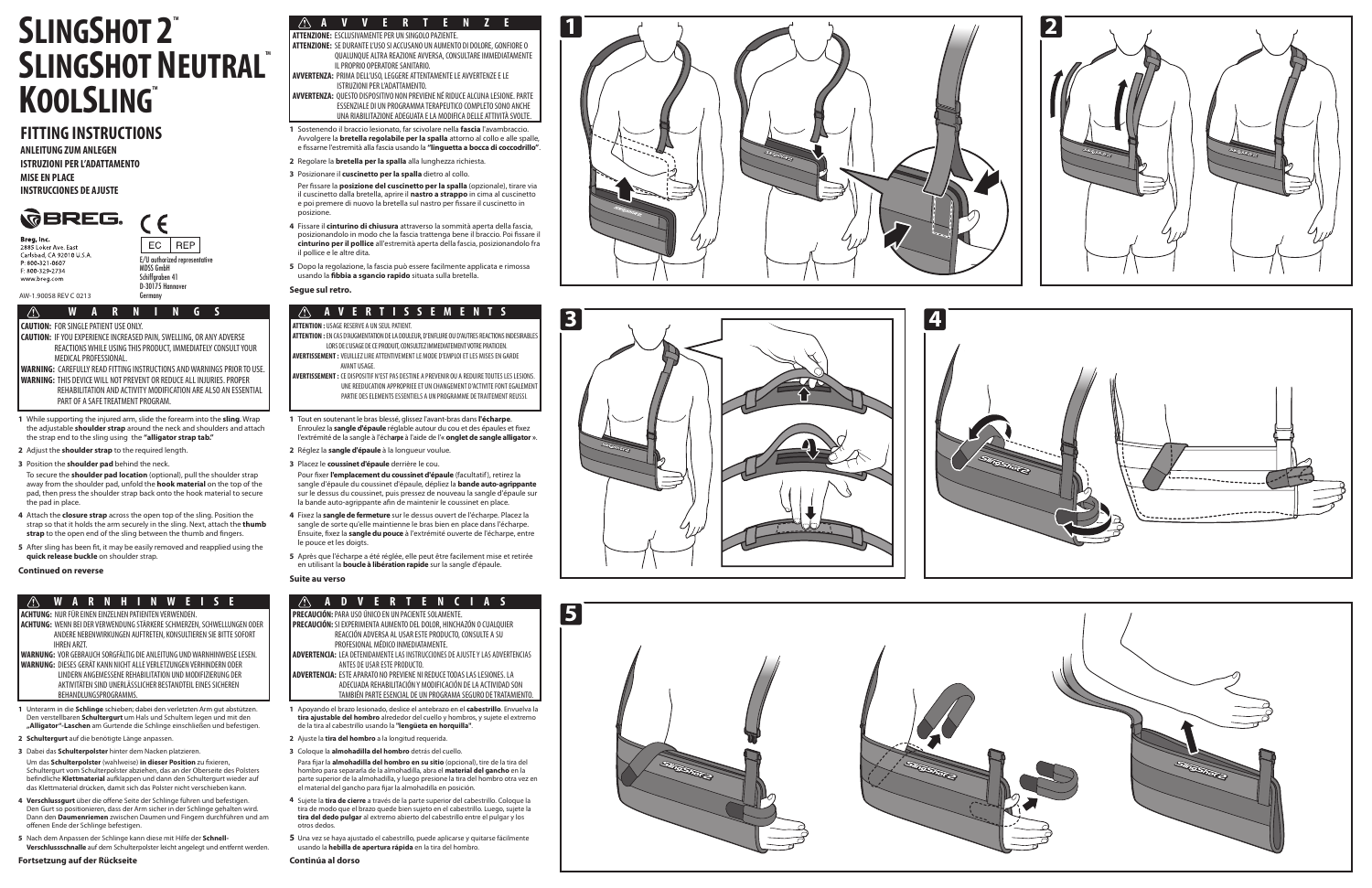#### $\langle \mathcal{L} \rangle$ **W A R N H I N W E I S E**

# **A V V E R T E N Z E**

#### $\bigwedge$ **A V E R T I S S E M E N T S**

**W A R N I N G S**

**CAUTION:** FOR SINGLE PATIENT USE ONLY.

**CAUTION:** IF YOU EXPERIENCE INCREASED PAIN, SWELLING, OR ANY ADVERSE REACTIONS WHILE USING THIS PRODUCT, IMMEDIATELY CONSULT YOUR MEDICAL PROFESSIONAL. **WARNING:** CAREFULLY READ FITTING INSTRUCTIONS AND WARNINGS PRIOR TO USE. **WARNING:** THIS DEVICE WILL NOT PREVENT OR REDUCE ALL INJURIES. PROPER

 REHABILITATION AND ACTIVITY MODIFICATION ARE ALSO AN ESSENTIAL PART OF A SAFE TREATMENT PROGRAM.

**ACHTUNG:** NUR FÜR EINEN EINZELNEN PATIENTEN VERWENDEN.

- **ACHTUNG:** WENN BEI DER VERWENDUNG STÄRKERE SCHMERZEN, SCHWELLUNGEN ODER ANDERE NEBENWIRKUNGEN AUFTRETEN, KONSULTIEREN SIE BITTE SOFORT IHREN ARZT.
- **WARNUNG:** VOR GEBRAUCH SORGFÄLTIG DIE ANLEITUNG UND WARNHINWEISE LESEN. **WARNUNG:** DIESES GERÄT KANN NICHT ALLE VERLETZUNGEN VERHINDERN ODER LINDERN ANGEMESSENE REHABILITATION UND MODIFIZIERUNG DER AKTIVITÄTEN SIND UNERLÄSSLICHER BESTANDTEIL EINES SICHEREN

 AVANT USAGE. **AVERTISSEMENT :** CE DISPOSITIF N'EST PAS DESTINE A PREVENIR OU A REDUIRE TOUTES LES LESIONS. UNE REEDUCATION APPROPRIEE ET UN CHANGEMENT D'ACTIVITE FONT EGALEMENT

BEHANDLUNGSPROGRAMMS.

**ATTENZIONE:** ESCLUSIVAMENTE PER UN SINGOLO PAZIENTE.

**ATTENZIONE:** SE DURANTE L'USO SI ACCUSANO UN AUMENTO DI DOLORE, GONFIORE O QUALUNQUE ALTRA REAZIONE AVVERSA, CONSULTARE IMMEDIATAMENTE IL PROPRIO OPERATORE SANITARIO.

**AVVERTENZA:** PRIMA DELL'USO, LEGGERE ATTENTAMENTE LE AVVERTENZE E LE ISTRUZIONI PER L'ADATTAMENTO.

E/U authorized representative MDSS GmbH Schiffgraben 41 D-30175 Hannove<br>Germany

- While supporting the injured arm, slide the forearm into the **sling**. Wrap the adjustable **shoulder strap** around the neck and shoulders and attach the strap end to the sling using the **"alligator strap tab."**
- Adjust the **shoulder strap** to the required length.
- 3 Position the **shoulder pad** behind the neck.

**AVVERTENZA:** QUESTO DISPOSITIVO NON PREVIENE NÉ RIDUCE ALCUNA LESIONE. PARTE ESSENZIALE DI UN PROGRAMMA TERAPEUTICO COMPLETO SONO ANCHE UNA RIABILITAZIONE ADEGUATA E LA MODIFICA DELLE ATTIVITÀ SVOLTE.

## **ATTENTION :** USAGE RESERVE A UN SEUL PATIENT.

**ATTENTION :**EN CAS D'AUGMENTATION DE LA DOULEUR, D'ENFLURE OU D'AUTRES REACTIONS INDESIRABLES LORS DE L'USAGE DE CE PRODUIT, CONSULTEZ IMMEDIATEMENT VOTRE PRATICIEN. **AVERTISSEMENT :** VEUILLEZ LIRE ATTENTIVEMENT LE MODE D'EMPLOI ET LES MISES EN GARDE

2 Réglez la **sangle d'épaule** à la longueur voulue. Placez le **coussinet d'épaule** derrière le cou.

PARTIE DES ELEMENTS ESSENTIELS A UN PROGRAMME DE TRAITEMENT REUSSI.

**PRECAUCIÓN:** PARA USO ÚNICO EN UN PACIENTE SOLAMENTE. **PRECAUCIÓN:** SI EXPERIMENTA AUMENTO DEL DOLOR, HINCHAZÓN O CUALQUIER REACCIÓN ADVERSA AL USAR ESTE PRODUCTO, CONSULTE A SU

 PROFESIONAL MÉDICO INMEDIATAMENTE. **ADVERTENCIA:** LEA DETENIDAMENTE LAS INSTRUCCIONES DE AJUSTE Y LAS ADVERTENCIAS ANTES DE USAR ESTE PRODUCTO.

5 Après que l'écharpe a été réglée, elle peut être facilement mise et retirée en utilisant la **boucle à libération rapide** sur la sangle d'épaule.

Pour fixer l'emplacement du coussinet d'épaule (facultatif), retirez la sangle d'épaule du coussinet d'épaule, dépliez la **bande auto-agrippante** sur le dessus du coussinet, puis pressez de nouveau la sangle d'épaule sur la bande auto-agrippante afin de maintenir le coussinet en place. **12345**

Sostenendo il braccio lesionato, far scivolare nella **fascia** l'avambraccio. Avvolgere la **bretella regolabile per la spalla** attorno al collo e alle spalle, e fissarne l'estremità alla fascia usando la "linguetta a bocca di coccodrillo".

**ADVERTENCIA:** ESTE APARATO NO PREVIENE NI REDUCE TODAS LAS LESIONES. LA ADECUADA REHABILITACIÓN Y MODIFICACIÓN DE LA ACTIVIDAD SON TAMBIÉN PARTE ESENCIAL DE UN PROGRAMA SEGURO DE TRATAMIENTO.

# SLINGSHOT N<br> **KOOLSLING**<br>
FITTING INSTRUCTIONS<br>
ANLEITUNG ZUM ANLEGEN<br>
ISTRUZIONI PER L'ADATTAMENTO<br>
MISE EN PLACE<br>
INSTRUCCIONES DE AJUSTE<br> **SUBREG** (C<br> **CORREGE)**<br>
SEREG (C<br>
PEREGE)<br>
PEREGE (C<br>
PEREGE)<br>
PEREGE (PU author **SLINGSHOT 2<sup>®</sup> SLINGSHOT NEUTRALT** KOOLSLING

## **FITTING INSTRUCTIONS**

**ANLEITUNG ZUM ANLEGEN ISTRUZIONI PER L'ADATTAMENTO MISE EN PLACE INSTRUCCIONES DE AJUSTE**



 $\sqrt{N}$ 

- 2 Regolare la **bretella per la spalla** alla lunghezza richiesta.
- Posizionare il **cuscinetto per la spalla** dietro al collo.
- Per fissare la **posizione del cuscinetto per la spalla** (opzionale), tirare via il cuscinetto dalla bretella, aprire il **nastro a strappo** in cima al cuscinetto e poi premere di nuovo la bretella sul nastro per fissare il cuscinetto in posizione.
- Fissare il **cinturino di chiusura** attraverso la sommità aperta della fascia, posizionandolo in modo che la fascia trattenga bene il braccio. Poi fissare il **cinturino per il pollice** all'estremità aperta della fascia, posizionandolo fra il pollice e le altre dita. **12345**
- 5 Dopo la regolazione, la fascia può essere facilmente applicata e rimossa usando la **bbia a sgancio rapido** situata sulla bretella.

To secure the **shoulder pad location** (optional), pull the shoulder strap away from the shoulder pad, unfold the **hook material** on the top of the pad, then press the shoulder strap back onto the hook material to secure the pad in place.

- Attach the **closure strap** across the open top of the sling. Position the strap so that it holds the arm securely in the sling. Next, attach the **thumb**  strap to the open end of the sling between the thumb and fingers. **12345**
- 5 After sling has been fit, it may be easily removed and reapplied using the **quick release buckle** on shoulder strap.

**Continued on reverse**

Tout en soutenant le bras blessé, glissez l'avant-bras dans **l'écharpe**. Enroulez la **sangle d'épaule** réglable autour du cou et des épaules et fixez l'extrémité de la sangle à l'éch**arpe** à l'aide de l'**« onglet de sangle alligator »** .

5 Una vez se hava ajustado el cabestrillo, puede aplicarse y quitarse fácilmente usando la **hebilla de apertura rápida** en la tira del hombro.

Fixez la **sangle de fermeture** sur le dessus ouvert de l'écharpe. Placez la sangle de sorte qu'elle maintienne le bras bien en place dans l'écharpe. Ensuite, xez la **sangle du pouce** à l'extrémité ouverte de l'écharpe, entre le pouce et les doigts.

### **Suite au verso**

## **A A D V E R T E N**

**Segue sul retro.**

- Unterarm in die **Schlinge** schieben; dabei den verletzten Arm gut abstützen. Den verstellbaren **Schultergurt** um Hals und Schultern legen und mit den **"Alligator"-Laschen** am Gurtende die Schlinge einschließen und befestigen.
- **Schultergurt** auf die benötigte Länge anpassen.
- Dabei das **Schulterpolster** hinter dem Nacken platzieren. Um das Schulterpolster (wahlweise) in dieser Position zu fixieren, Schultergurt vom Schulterpolster abziehen, das an der Oberseite des Polsters befindliche **Klettmaterial** aufklappen und dann den Schultergurt wieder auf das Klettmaterial drücken, damit sich das Polster nicht verschieben kann. **12345**
- 4 Verschlussgurt über die offene Seite der Schlinge führen und befestigen. Den Gurt so positionieren, dass der Arm sicher in der Schlinge gehalten wird. Dann den **Daumenriemen** zwischen Daumen und Fingern durchführen und am offenen Ende der Schlinge befestigen.
- Nach dem Anpassen der Schlinge kann diese mit Hilfe der **Schnell-Verschlussschnalle** auf dem Schulterpolster leicht angelegt und entfernt werden.

Apoyando el brazo lesionado, deslice el antebrazo en el **cabestrillo**. Envuelva la **tira ajustable del hombro** alrededor del cuello y hombros, y sujete el extremo de la tira al cabestrillo usando la **"lengüeta en horquilla"** .

- Ajuste la **tira del hombro** a la longitud requerida.
- Coloque la **almohadilla del hombro** detrás del cuello. Para fijar la **almohadilla del hombro en su sitio** (opcional), tire de la tira del hombro para separarla de la almohadilla, abra el **material del gancho** en la parte superior de la almohadilla, y luego presione la tira del hombro otra vez en el material del gancho para fijar la almohadilla en posición. **12345**
- Sujete la **tira de cierre** a través de la parte superior del cabestrillo. Coloque la tira de modo que el brazo quede bien sujeto en el cabestrillo. Luego, sujete la **tira del dedo pulgar** al extremo abierto del cabestrillo entre el pulgar y los otros dedos.